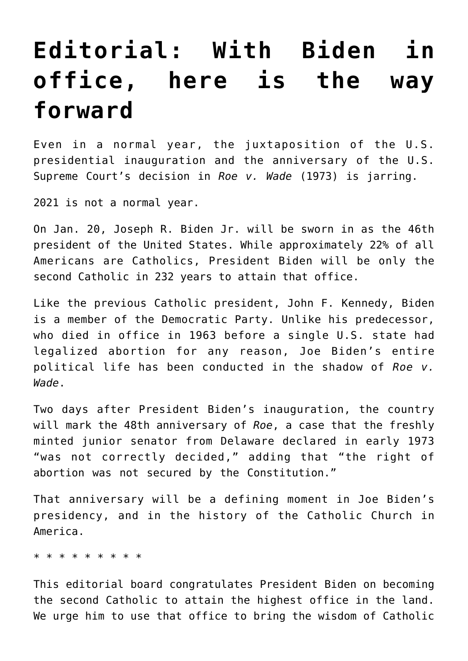## **[Editorial: With Biden in](https://www.osvnews.com/2021/01/05/editorial-with-biden-in-office-here-is-the-way-forward/) [office, here is the way](https://www.osvnews.com/2021/01/05/editorial-with-biden-in-office-here-is-the-way-forward/) [forward](https://www.osvnews.com/2021/01/05/editorial-with-biden-in-office-here-is-the-way-forward/)**

Even in a normal year, the juxtaposition of the U.S. presidential inauguration and the anniversary of the U.S. Supreme Court's decision in *Roe v. Wade* (1973) is jarring.

2021 is not a normal year.

On Jan. 20, Joseph R. Biden Jr. will be sworn in as the 46th president of the United States. While approximately 22% of all Americans are Catholics, President Biden will be only the second Catholic in 232 years to attain that office.

Like the previous Catholic president, John F. Kennedy, Biden is a member of the Democratic Party. Unlike his predecessor, who died in office in 1963 before a single U.S. state had legalized abortion for any reason, Joe Biden's entire political life has been conducted in the shadow of *Roe v. Wade*.

Two days after President Biden's inauguration, the country will mark the 48th anniversary of *Roe*, a case that the freshly minted junior senator from Delaware declared in early 1973 "was not correctly decided," adding that "the right of abortion was not secured by the Constitution."

That anniversary will be a defining moment in Joe Biden's presidency, and in the history of the Catholic Church in America.

\* \* \* \* \* \* \* \* \*

This editorial board congratulates President Biden on becoming the second Catholic to attain the highest office in the land. We urge him to use that office to bring the wisdom of Catholic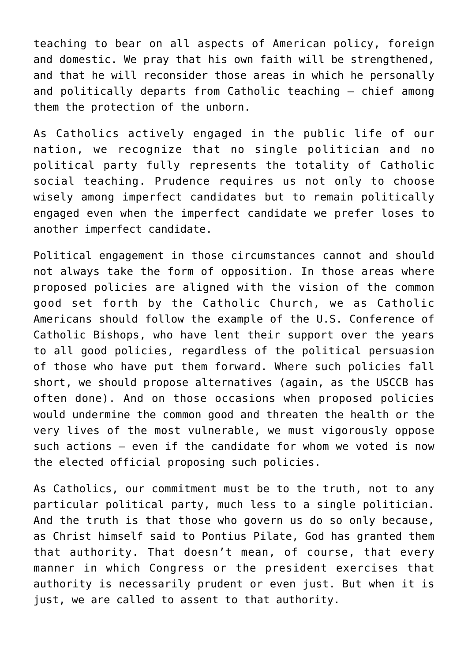teaching to bear on all aspects of American policy, foreign and domestic. We pray that his own faith will be strengthened, and that he will reconsider those areas in which he personally and politically departs from Catholic teaching — chief among them the protection of the unborn.

As Catholics actively engaged in the public life of our nation, we recognize that no single politician and no political party fully represents the totality of Catholic social teaching. Prudence requires us not only to choose wisely among imperfect candidates but to remain politically engaged even when the imperfect candidate we prefer loses to another imperfect candidate.

Political engagement in those circumstances cannot and should not always take the form of opposition. In those areas where proposed policies are aligned with the vision of the common good set forth by the Catholic Church, we as Catholic Americans should follow the example of the U.S. Conference of Catholic Bishops, who have lent their support over the years to all good policies, regardless of the political persuasion of those who have put them forward. Where such policies fall short, we should propose alternatives (again, as the USCCB has often done). And on those occasions when proposed policies would undermine the common good and threaten the health or the very lives of the most vulnerable, we must vigorously oppose such actions — even if the candidate for whom we voted is now the elected official proposing such policies.

As Catholics, our commitment must be to the truth, not to any particular political party, much less to a single politician. And the truth is that those who govern us do so only because, as Christ himself said to Pontius Pilate, God has granted them that authority. That doesn't mean, of course, that every manner in which Congress or the president exercises that authority is necessarily prudent or even just. But when it is just, we are called to assent to that authority.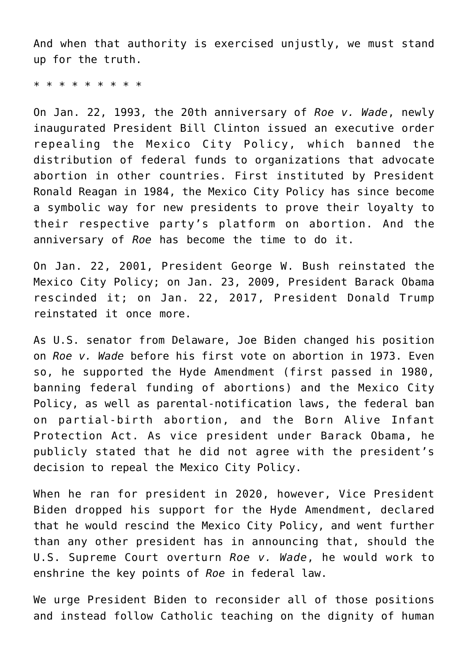And when that authority is exercised unjustly, we must stand up for the truth.

\* \* \* \* \* \* \* \* \*

On Jan. 22, 1993, the 20th anniversary of *Roe v. Wade*, newly inaugurated President Bill Clinton issued an executive order repealing the Mexico City Policy, which banned the distribution of federal funds to organizations that advocate abortion in other countries. First instituted by President Ronald Reagan in 1984, the Mexico City Policy has since become a symbolic way for new presidents to prove their loyalty to their respective party's platform on abortion. And the anniversary of *Roe* has become the time to do it.

On Jan. 22, 2001, President George W. Bush reinstated the Mexico City Policy; on Jan. 23, 2009, President Barack Obama rescinded it; on Jan. 22, 2017, President Donald Trump reinstated it once more.

As U.S. senator from Delaware, Joe Biden changed his position on *Roe v. Wade* before his first vote on abortion in 1973. Even so, he supported the Hyde Amendment (first passed in 1980, banning federal funding of abortions) and the Mexico City Policy, as well as parental-notification laws, the federal ban on partial-birth abortion, and the Born Alive Infant Protection Act. As vice president under Barack Obama, he publicly stated that he did not agree with the president's decision to repeal the Mexico City Policy.

When he ran for president in 2020, however, Vice President Biden dropped his support for the Hyde Amendment, declared that he would rescind the Mexico City Policy, and went further than any other president has in announcing that, should the U.S. Supreme Court overturn *Roe v. Wade*, he would work to enshrine the key points of *Roe* in federal law.

We urge President Biden to reconsider all of those positions and instead follow Catholic teaching on the dignity of human